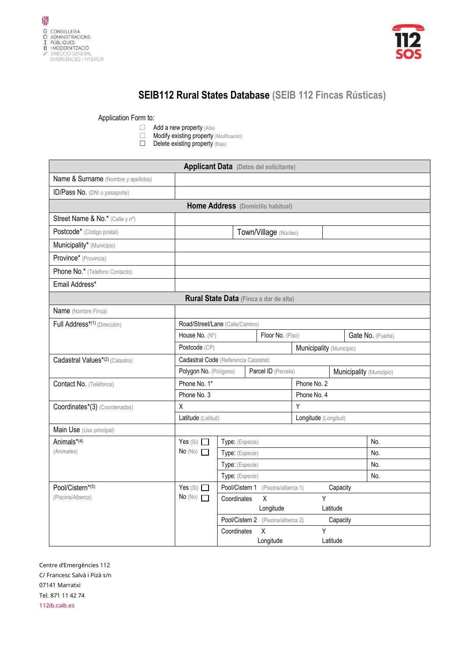



## **SEIB112 Rural States Database (SEIB 112 Fincas Rústicas)**

Application Form to:

- 
- $\Box$  Add a new property (Alta)<br> $\Box$  Modify existing property Modify existing property (Modificación)
- $\Box$  Delete existing property  $(Baja)$

| <b>Applicant Data</b> (Datos del solicitante) |                                               |                                                                          |                                    |                          |                          |          |  |                   |
|-----------------------------------------------|-----------------------------------------------|--------------------------------------------------------------------------|------------------------------------|--------------------------|--------------------------|----------|--|-------------------|
| Name & Surname (Nombre y apellidos)           |                                               |                                                                          |                                    |                          |                          |          |  |                   |
| ID/Pass No. (DNI o pasaporte)                 |                                               |                                                                          |                                    |                          |                          |          |  |                   |
| Home Address (Domicilio habitual)             |                                               |                                                                          |                                    |                          |                          |          |  |                   |
| Street Name & No.* (Calle y nº)               |                                               |                                                                          |                                    |                          |                          |          |  |                   |
| Postcode* (Código postal)                     | Town/Village (Núcleo)                         |                                                                          |                                    |                          |                          |          |  |                   |
| Municipality* (Municipio)                     |                                               |                                                                          |                                    |                          |                          |          |  |                   |
| Province* (Provincia)                         |                                               |                                                                          |                                    |                          |                          |          |  |                   |
| Phone No.* (Teléfono Contacto)                |                                               |                                                                          |                                    |                          |                          |          |  |                   |
| Email Address*                                |                                               |                                                                          |                                    |                          |                          |          |  |                   |
|                                               | Rural State Data (Finca a dar de alta)        |                                                                          |                                    |                          |                          |          |  |                   |
| Name (Nombre Finca)                           |                                               |                                                                          |                                    |                          |                          |          |  |                   |
| Full Address <sup>*(1)</sup> (Dirección)      |                                               | Road/Street/Lane (Calle/Camino)                                          |                                    |                          |                          |          |  |                   |
|                                               | House No. (Nº)                                | Floor No. (Piso)                                                         |                                    |                          |                          |          |  | Gate No. (Puerta) |
| Postcode (CP)                                 |                                               |                                                                          |                                    |                          | Municipality (Municipio) |          |  |                   |
| Cadastral Values*(2) (Catastro)               | Cadastral Code (Referencia Catastral)         |                                                                          |                                    |                          |                          |          |  |                   |
|                                               | Polygon No. (Polígono)<br>Parcel ID (Parcela) |                                                                          |                                    | Municipality (Municipio) |                          |          |  |                   |
| Contact No. (Teléfonos)                       | Phone No. 1*                                  |                                                                          | Phone No. 2                        |                          |                          |          |  |                   |
|                                               | Phone No. 3                                   |                                                                          |                                    | Phone No. 4              |                          |          |  |                   |
| Coordinates*(3) (Coordenadas)                 | X<br>Latitude (Latitud)                       |                                                                          |                                    |                          | Y                        |          |  |                   |
|                                               |                                               |                                                                          |                                    | Longitude (Longitud)     |                          |          |  |                   |
| Main Use (Uso principal)                      |                                               |                                                                          |                                    |                          |                          |          |  |                   |
| Animals*(4)                                   |                                               | Yes $(Si)$<br>Type: (Especie)<br>No(No)<br>Type: (Especie)               |                                    |                          |                          |          |  | No.               |
| (Animales)                                    |                                               |                                                                          |                                    |                          |                          |          |  | No.               |
|                                               | Type: (Especie)                               |                                                                          |                                    |                          |                          |          |  | No.               |
| Pool/Cistern*(5)                              | Yes $(Si)$                                    | Type: (Especie)<br>No.<br>Pool/Cistern 1 (Piscina/alberca 1)<br>Capacity |                                    |                          |                          |          |  |                   |
| (Piscina/Alberca)                             | No(No)                                        | Coordinates                                                              | X                                  |                          | Υ                        |          |  |                   |
|                                               |                                               |                                                                          | Longitude                          |                          |                          | Latitude |  |                   |
|                                               |                                               |                                                                          | Pool/Cistern 2 (Piscina/alberca 2) |                          |                          | Capacity |  |                   |
|                                               |                                               | Coordinates                                                              | Χ                                  |                          | Y                        |          |  |                   |
|                                               |                                               |                                                                          | Longitude                          |                          |                          | Latitude |  |                   |

Centre d'Emergències 112 C/ Francesc Salvà i Pizà s/n 07141 Marratxi Tel. 871 11 42 74 112ib.caib.es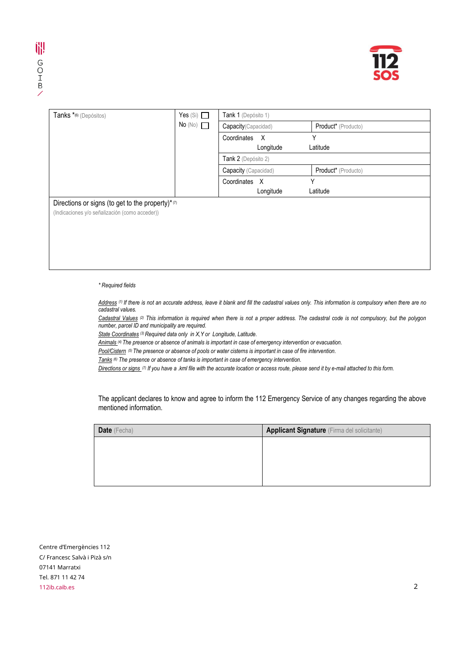

| Tanks *(6) (Depósitos)                                 | Yes $(Si)$ | Tank 1 (Depósito 1)         |                     |  |  |  |
|--------------------------------------------------------|------------|-----------------------------|---------------------|--|--|--|
|                                                        | No (No)    | Capacity (Capacidad)        | Product* (Producto) |  |  |  |
|                                                        |            | Coordinates<br>$\mathsf{X}$ | Υ                   |  |  |  |
|                                                        |            | Longitude                   | Latitude            |  |  |  |
|                                                        |            | Tank 2 (Depósito 2)         |                     |  |  |  |
|                                                        |            | Capacity (Capacidad)        | Product* (Producto) |  |  |  |
|                                                        |            | Coordinates<br>X            | Υ                   |  |  |  |
|                                                        |            | Longitude                   | Latitude            |  |  |  |
| Directions or signs (to get to the property)* $\sigma$ |            |                             |                     |  |  |  |
| (Indicaciones y/o señalización (como acceder))         |            |                             |                     |  |  |  |
|                                                        |            |                             |                     |  |  |  |
|                                                        |            |                             |                     |  |  |  |
|                                                        |            |                             |                     |  |  |  |
|                                                        |            |                             |                     |  |  |  |
|                                                        |            |                             |                     |  |  |  |

*\* Required fields*

*Address (1) If there is not an accurate address, leave it blank and fill the cadastral values only. This information is compulsory when there are no cadastral values.*

*Cadastral Values (2) This information is required when there is not a proper address. The cadastral code is not compulsory, but the polygon number, parcel ID and municipality are required.*

*State Coordinates (3) Required data only in X,Y or Longitude, Latitude.*

*Animals (4) The presence or absence of animals is important in case of emergency intervention or evacuation.*

*Pool/Cistern (5) The presence or absence of pools or water cisterns is important in case of fire intervention.*

*Tanks (6) The presence or absence of tanks is important in case of emergency intervention.*

*Directions or signs (7) If you have a .kml file with the accurate location or access route, please send it by e-mail attached to this form.*

The applicant declares to know and agree to inform the 112 Emergency Service of any changes regarding the above mentioned information.

| <b>Date</b> (Fecha) | <b>Applicant Signature</b> (Firma del solicitante) |
|---------------------|----------------------------------------------------|
|                     |                                                    |
|                     |                                                    |
|                     |                                                    |
|                     |                                                    |

Centre d'Emergències 112 C/ Francesc Salvà i Pizà s/n 07141 Marratxi Tel. 871 11 42 74 112ib.caib.es 2